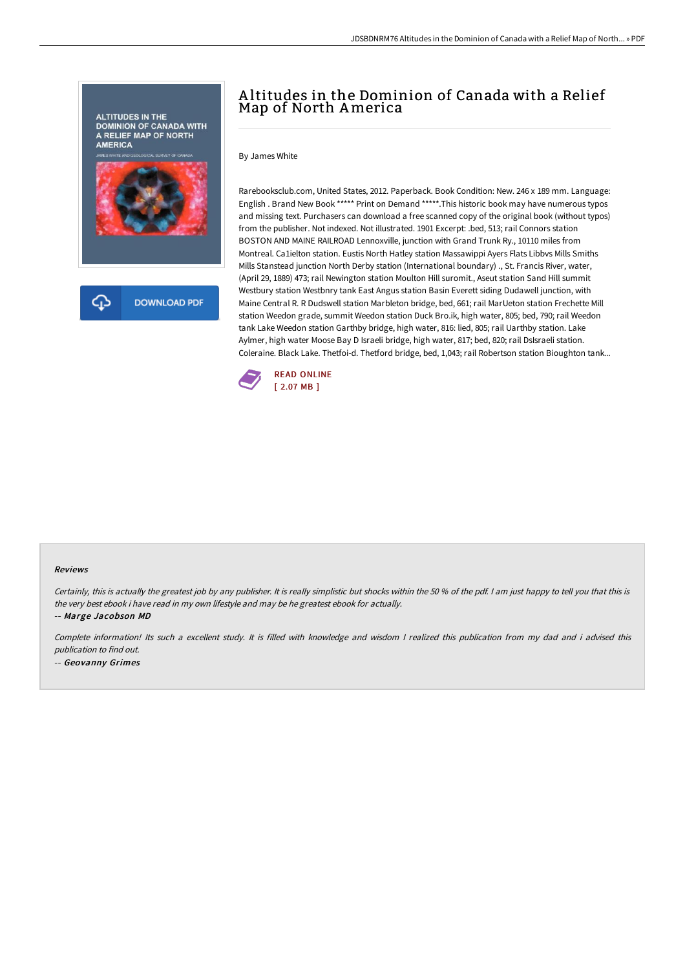

# A ltitudes in the Dominion of Canada with a Relief Map of North America

By James White

Rarebooksclub.com, United States, 2012. Paperback. Book Condition: New. 246 x 189 mm. Language: English . Brand New Book \*\*\*\*\* Print on Demand \*\*\*\*\*.This historic book may have numerous typos and missing text. Purchasers can download a free scanned copy of the original book (without typos) from the publisher. Not indexed. Not illustrated. 1901 Excerpt: .bed, 513; rail Connors station BOSTON AND MAINE RAILROAD Lennoxville, junction with Grand Trunk Ry., 10110 miles from Montreal. Ca1ielton station. Eustis North Hatley station Massawippi Ayers Flats Libbvs Mills Smiths Mills Stanstead junction North Derby station (International boundary) ., St. Francis River, water, (April 29, 1889) 473; rail Newington station Moulton Hill suromit., Aseut station Sand Hill summit Westbury station Westbnry tank East Angus station Basin Everett siding Dudawell junction, with Maine Central R. R Dudswell station Marbleton bridge, bed, 661; rail MarUeton station Frechette Mill station Weedon grade, summit Weedon station Duck Bro.ik, high water, 805; bed, 790; rail Weedon tank Lake Weedon station Garthby bridge, high water, 816: lied, 805; rail Uarthby station. Lake Aylmer, high water Moose Bay D Israeli bridge, high water, 817; bed, 820; rail DsIsraeli station. Coleraine. Black Lake. Thetfoi-d. Thetford bridge, bed, 1,043; rail Robertson station Bioughton tank...



#### Reviews

Certainly, this is actually the greatest job by any publisher. It is really simplistic but shocks within the 50 % of the pdf. I am just happy to tell you that this is the very best ebook i have read in my own lifestyle and may be he greatest ebook for actually.

-- Marge Jacobson MD

Complete information! Its such <sup>a</sup> excellent study. It is filled with knowledge and wisdom <sup>I</sup> realized this publication from my dad and i advised this publication to find out. -- Geovanny Grimes